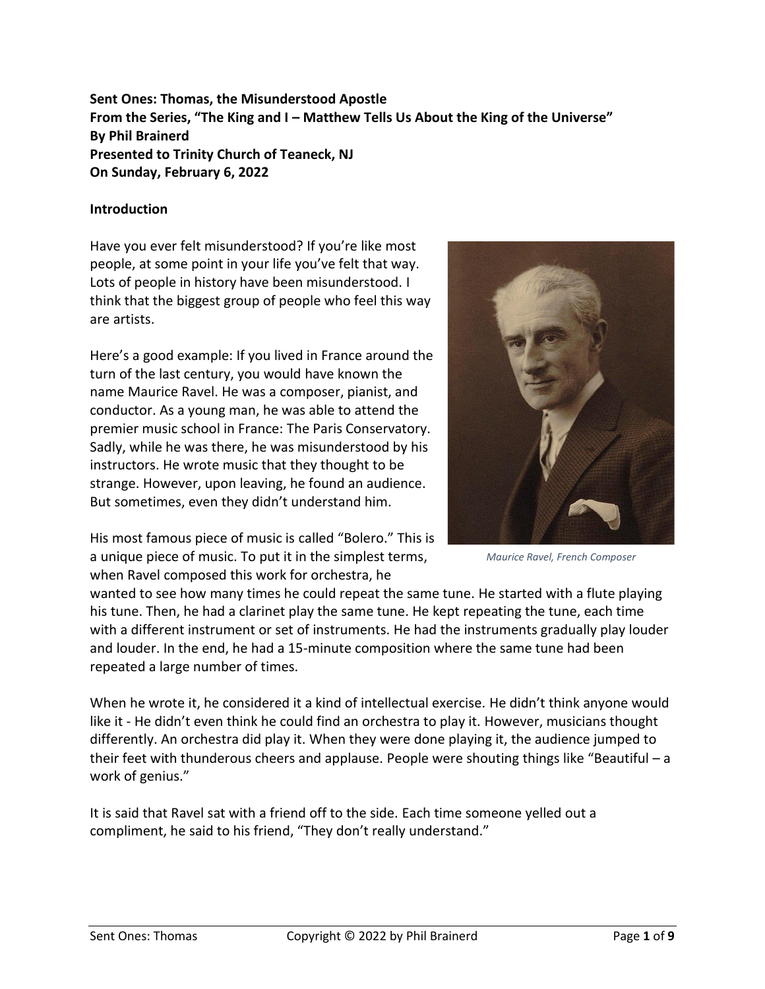**Sent Ones: Thomas, the Misunderstood Apostle From the Series, "The King and I – Matthew Tells Us About the King of the Universe" By Phil Brainerd Presented to Trinity Church of Teaneck, NJ On Sunday, February 6, 2022**

#### **Introduction**

Have you ever felt misunderstood? If you're like most people, at some point in your life you've felt that way. Lots of people in history have been misunderstood. I think that the biggest group of people who feel this way are artists.

Here's a good example: If you lived in France around the turn of the last century, you would have known the name Maurice Ravel. He was a composer, pianist, and conductor. As a young man, he was able to attend the premier music school in France: The Paris Conservatory. Sadly, while he was there, he was misunderstood by his instructors. He wrote music that they thought to be strange. However, upon leaving, he found an audience. But sometimes, even they didn't understand him.



*Maurice Ravel, French Composer*

His most famous piece of music is called "Bolero." This is a unique piece of music. To put it in the simplest terms, when Ravel composed this work for orchestra, he

wanted to see how many times he could repeat the same tune. He started with a flute playing his tune. Then, he had a clarinet play the same tune. He kept repeating the tune, each time with a different instrument or set of instruments. He had the instruments gradually play louder and louder. In the end, he had a 15-minute composition where the same tune had been repeated a large number of times.

When he wrote it, he considered it a kind of intellectual exercise. He didn't think anyone would like it - He didn't even think he could find an orchestra to play it. However, musicians thought differently. An orchestra did play it. When they were done playing it, the audience jumped to their feet with thunderous cheers and applause. People were shouting things like "Beautiful – a work of genius."

It is said that Ravel sat with a friend off to the side. Each time someone yelled out a compliment, he said to his friend, "They don't really understand."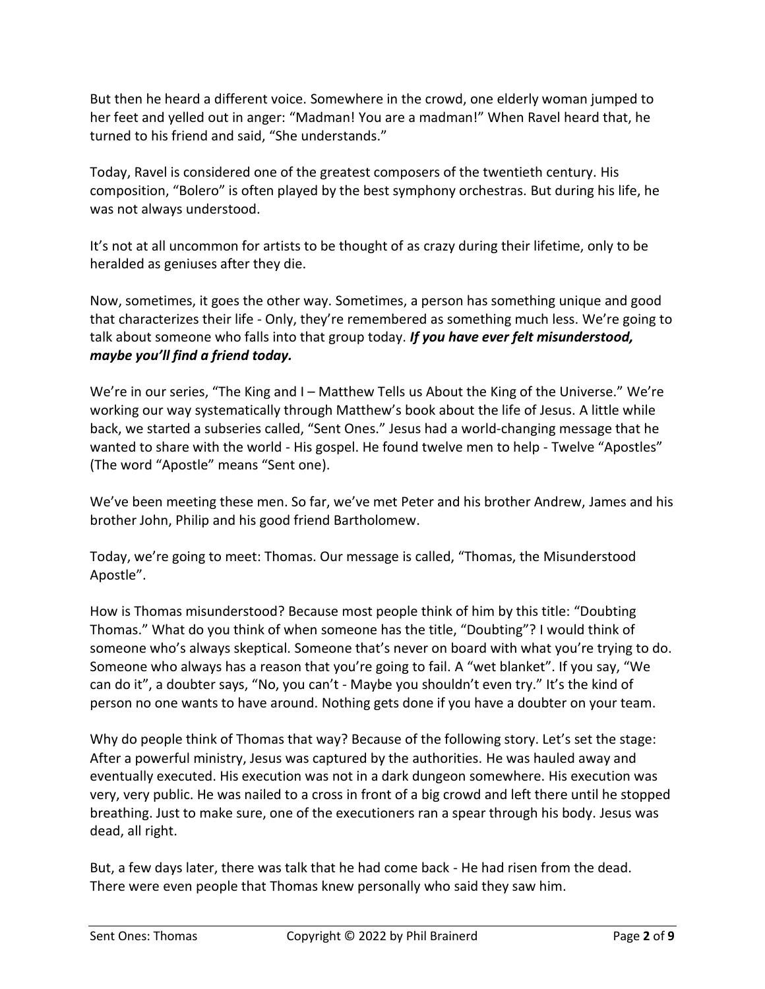But then he heard a different voice. Somewhere in the crowd, one elderly woman jumped to her feet and yelled out in anger: "Madman! You are a madman!" When Ravel heard that, he turned to his friend and said, "She understands."

Today, Ravel is considered one of the greatest composers of the twentieth century. His composition, "Bolero" is often played by the best symphony orchestras. But during his life, he was not always understood.

It's not at all uncommon for artists to be thought of as crazy during their lifetime, only to be heralded as geniuses after they die.

Now, sometimes, it goes the other way. Sometimes, a person has something unique and good that characterizes their life - Only, they're remembered as something much less. We're going to talk about someone who falls into that group today. *If you have ever felt misunderstood, maybe you'll find a friend today.*

We're in our series, "The King and I – Matthew Tells us About the King of the Universe." We're working our way systematically through Matthew's book about the life of Jesus. A little while back, we started a subseries called, "Sent Ones." Jesus had a world-changing message that he wanted to share with the world - His gospel. He found twelve men to help - Twelve "Apostles" (The word "Apostle" means "Sent one).

We've been meeting these men. So far, we've met Peter and his brother Andrew, James and his brother John, Philip and his good friend Bartholomew.

Today, we're going to meet: Thomas. Our message is called, "Thomas, the Misunderstood Apostle".

How is Thomas misunderstood? Because most people think of him by this title: "Doubting Thomas." What do you think of when someone has the title, "Doubting"? I would think of someone who's always skeptical. Someone that's never on board with what you're trying to do. Someone who always has a reason that you're going to fail. A "wet blanket". If you say, "We can do it", a doubter says, "No, you can't - Maybe you shouldn't even try." It's the kind of person no one wants to have around. Nothing gets done if you have a doubter on your team.

Why do people think of Thomas that way? Because of the following story. Let's set the stage: After a powerful ministry, Jesus was captured by the authorities. He was hauled away and eventually executed. His execution was not in a dark dungeon somewhere. His execution was very, very public. He was nailed to a cross in front of a big crowd and left there until he stopped breathing. Just to make sure, one of the executioners ran a spear through his body. Jesus was dead, all right.

But, a few days later, there was talk that he had come back - He had risen from the dead. There were even people that Thomas knew personally who said they saw him.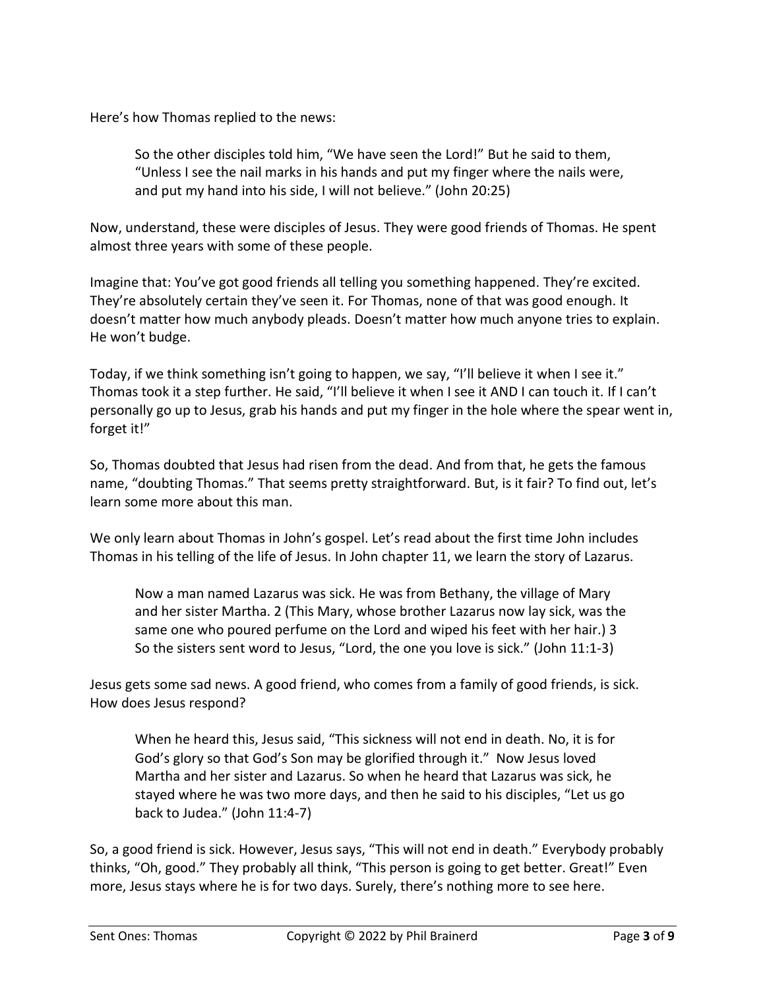Here's how Thomas replied to the news:

So the other disciples told him, "We have seen the Lord!" But he said to them, "Unless I see the nail marks in his hands and put my finger where the nails were, and put my hand into his side, I will not believe." (John 20:25)

Now, understand, these were disciples of Jesus. They were good friends of Thomas. He spent almost three years with some of these people.

Imagine that: You've got good friends all telling you something happened. They're excited. They're absolutely certain they've seen it. For Thomas, none of that was good enough. It doesn't matter how much anybody pleads. Doesn't matter how much anyone tries to explain. He won't budge.

Today, if we think something isn't going to happen, we say, "I'll believe it when I see it." Thomas took it a step further. He said, "I'll believe it when I see it AND I can touch it. If I can't personally go up to Jesus, grab his hands and put my finger in the hole where the spear went in, forget it!"

So, Thomas doubted that Jesus had risen from the dead. And from that, he gets the famous name, "doubting Thomas." That seems pretty straightforward. But, is it fair? To find out, let's learn some more about this man.

We only learn about Thomas in John's gospel. Let's read about the first time John includes Thomas in his telling of the life of Jesus. In John chapter 11, we learn the story of Lazarus.

Now a man named Lazarus was sick. He was from Bethany, the village of Mary and her sister Martha. 2 (This Mary, whose brother Lazarus now lay sick, was the same one who poured perfume on the Lord and wiped his feet with her hair.) 3 So the sisters sent word to Jesus, "Lord, the one you love is sick." (John 11:1-3)

Jesus gets some sad news. A good friend, who comes from a family of good friends, is sick. How does Jesus respond?

When he heard this, Jesus said, "This sickness will not end in death. No, it is for God's glory so that God's Son may be glorified through it." Now Jesus loved Martha and her sister and Lazarus. So when he heard that Lazarus was sick, he stayed where he was two more days, and then he said to his disciples, "Let us go back to Judea." (John 11:4-7)

So, a good friend is sick. However, Jesus says, "This will not end in death." Everybody probably thinks, "Oh, good." They probably all think, "This person is going to get better. Great!" Even more, Jesus stays where he is for two days. Surely, there's nothing more to see here.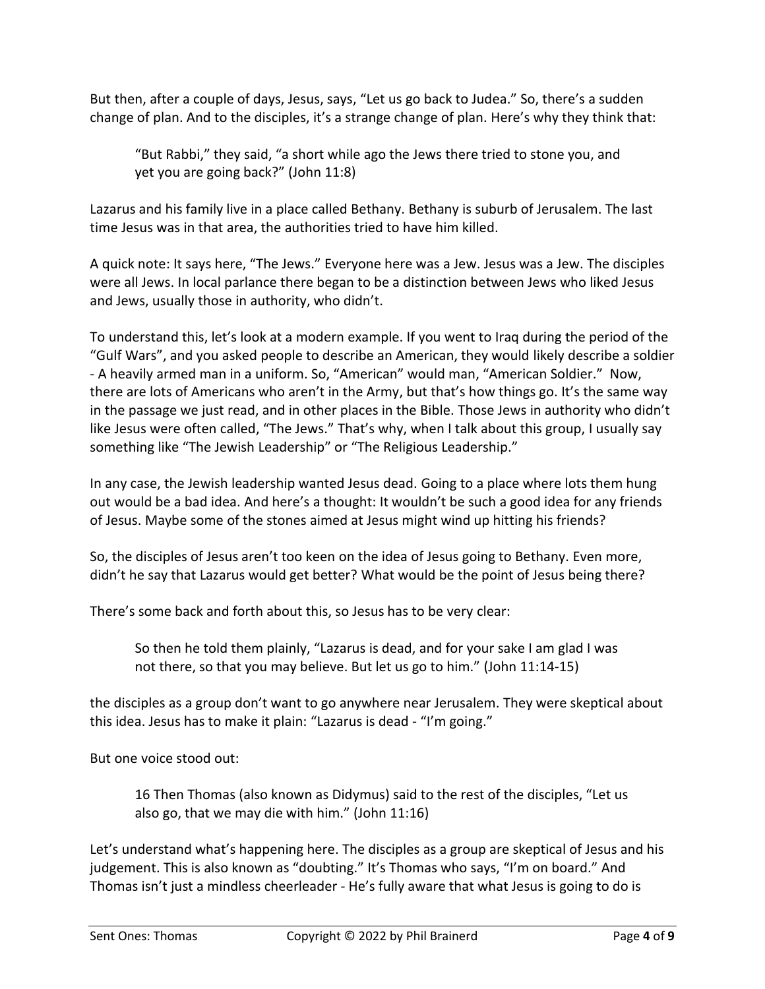But then, after a couple of days, Jesus, says, "Let us go back to Judea." So, there's a sudden change of plan. And to the disciples, it's a strange change of plan. Here's why they think that:

"But Rabbi," they said, "a short while ago the Jews there tried to stone you, and yet you are going back?" (John 11:8)

Lazarus and his family live in a place called Bethany. Bethany is suburb of Jerusalem. The last time Jesus was in that area, the authorities tried to have him killed.

A quick note: It says here, "The Jews." Everyone here was a Jew. Jesus was a Jew. The disciples were all Jews. In local parlance there began to be a distinction between Jews who liked Jesus and Jews, usually those in authority, who didn't.

To understand this, let's look at a modern example. If you went to Iraq during the period of the "Gulf Wars", and you asked people to describe an American, they would likely describe a soldier - A heavily armed man in a uniform. So, "American" would man, "American Soldier." Now, there are lots of Americans who aren't in the Army, but that's how things go. It's the same way in the passage we just read, and in other places in the Bible. Those Jews in authority who didn't like Jesus were often called, "The Jews." That's why, when I talk about this group, I usually say something like "The Jewish Leadership" or "The Religious Leadership."

In any case, the Jewish leadership wanted Jesus dead. Going to a place where lots them hung out would be a bad idea. And here's a thought: It wouldn't be such a good idea for any friends of Jesus. Maybe some of the stones aimed at Jesus might wind up hitting his friends?

So, the disciples of Jesus aren't too keen on the idea of Jesus going to Bethany. Even more, didn't he say that Lazarus would get better? What would be the point of Jesus being there?

There's some back and forth about this, so Jesus has to be very clear:

So then he told them plainly, "Lazarus is dead, and for your sake I am glad I was not there, so that you may believe. But let us go to him." (John 11:14-15)

the disciples as a group don't want to go anywhere near Jerusalem. They were skeptical about this idea. Jesus has to make it plain: "Lazarus is dead - "I'm going."

But one voice stood out:

16 Then Thomas (also known as Didymus) said to the rest of the disciples, "Let us also go, that we may die with him." (John 11:16)

Let's understand what's happening here. The disciples as a group are skeptical of Jesus and his judgement. This is also known as "doubting." It's Thomas who says, "I'm on board." And Thomas isn't just a mindless cheerleader - He's fully aware that what Jesus is going to do is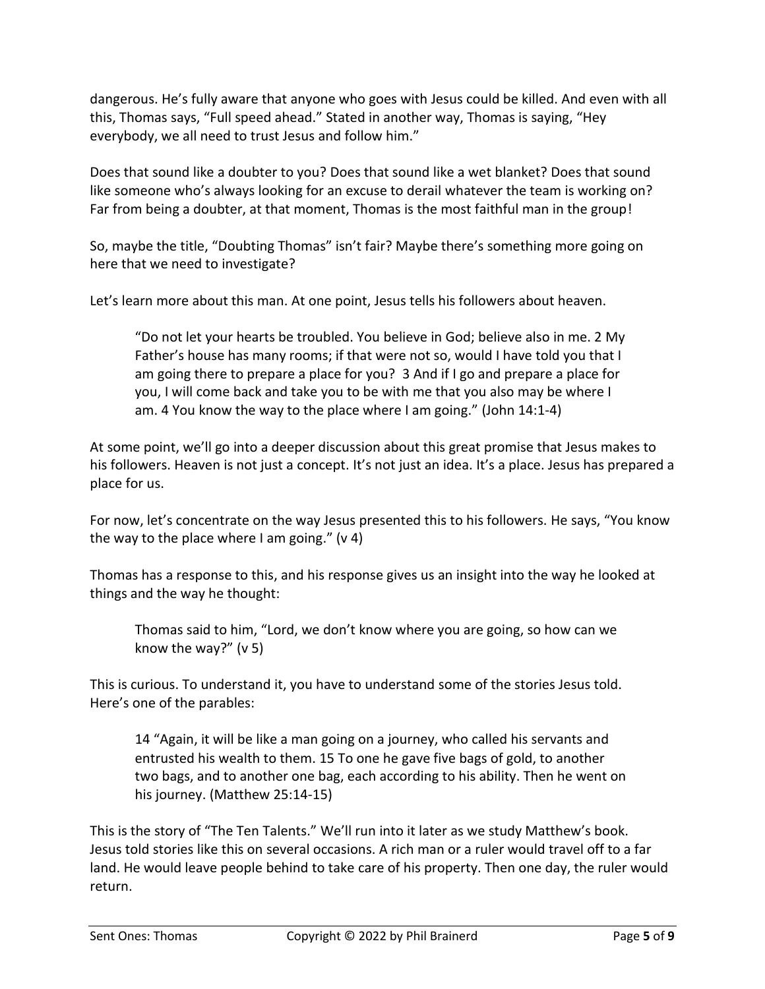dangerous. He's fully aware that anyone who goes with Jesus could be killed. And even with all this, Thomas says, "Full speed ahead." Stated in another way, Thomas is saying, "Hey everybody, we all need to trust Jesus and follow him."

Does that sound like a doubter to you? Does that sound like a wet blanket? Does that sound like someone who's always looking for an excuse to derail whatever the team is working on? Far from being a doubter, at that moment, Thomas is the most faithful man in the group!

So, maybe the title, "Doubting Thomas" isn't fair? Maybe there's something more going on here that we need to investigate?

Let's learn more about this man. At one point, Jesus tells his followers about heaven.

"Do not let your hearts be troubled. You believe in God; believe also in me. 2 My Father's house has many rooms; if that were not so, would I have told you that I am going there to prepare a place for you? 3 And if I go and prepare a place for you, I will come back and take you to be with me that you also may be where I am. 4 You know the way to the place where I am going." (John 14:1-4)

At some point, we'll go into a deeper discussion about this great promise that Jesus makes to his followers. Heaven is not just a concept. It's not just an idea. It's a place. Jesus has prepared a place for us.

For now, let's concentrate on the way Jesus presented this to his followers. He says, "You know the way to the place where I am going."  $(v 4)$ 

Thomas has a response to this, and his response gives us an insight into the way he looked at things and the way he thought:

Thomas said to him, "Lord, we don't know where you are going, so how can we know the way?" (v 5)

This is curious. To understand it, you have to understand some of the stories Jesus told. Here's one of the parables:

14 "Again, it will be like a man going on a journey, who called his servants and entrusted his wealth to them. 15 To one he gave five bags of gold, to another two bags, and to another one bag, each according to his ability. Then he went on his journey. (Matthew 25:14-15)

This is the story of "The Ten Talents." We'll run into it later as we study Matthew's book. Jesus told stories like this on several occasions. A rich man or a ruler would travel off to a far land. He would leave people behind to take care of his property. Then one day, the ruler would return.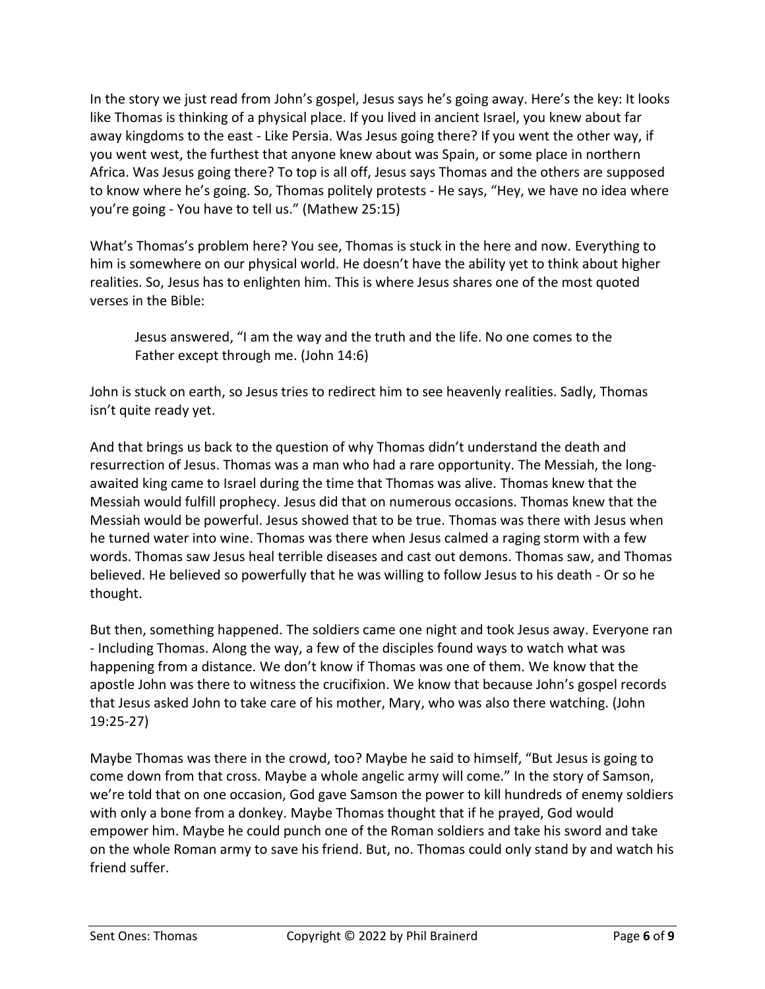In the story we just read from John's gospel, Jesus says he's going away. Here's the key: It looks like Thomas is thinking of a physical place. If you lived in ancient Israel, you knew about far away kingdoms to the east - Like Persia. Was Jesus going there? If you went the other way, if you went west, the furthest that anyone knew about was Spain, or some place in northern Africa. Was Jesus going there? To top is all off, Jesus says Thomas and the others are supposed to know where he's going. So, Thomas politely protests - He says, "Hey, we have no idea where you're going - You have to tell us." (Mathew 25:15)

What's Thomas's problem here? You see, Thomas is stuck in the here and now. Everything to him is somewhere on our physical world. He doesn't have the ability yet to think about higher realities. So, Jesus has to enlighten him. This is where Jesus shares one of the most quoted verses in the Bible:

Jesus answered, "I am the way and the truth and the life. No one comes to the Father except through me. (John 14:6)

John is stuck on earth, so Jesus tries to redirect him to see heavenly realities. Sadly, Thomas isn't quite ready yet.

And that brings us back to the question of why Thomas didn't understand the death and resurrection of Jesus. Thomas was a man who had a rare opportunity. The Messiah, the longawaited king came to Israel during the time that Thomas was alive. Thomas knew that the Messiah would fulfill prophecy. Jesus did that on numerous occasions. Thomas knew that the Messiah would be powerful. Jesus showed that to be true. Thomas was there with Jesus when he turned water into wine. Thomas was there when Jesus calmed a raging storm with a few words. Thomas saw Jesus heal terrible diseases and cast out demons. Thomas saw, and Thomas believed. He believed so powerfully that he was willing to follow Jesus to his death - Or so he thought.

But then, something happened. The soldiers came one night and took Jesus away. Everyone ran - Including Thomas. Along the way, a few of the disciples found ways to watch what was happening from a distance. We don't know if Thomas was one of them. We know that the apostle John was there to witness the crucifixion. We know that because John's gospel records that Jesus asked John to take care of his mother, Mary, who was also there watching. (John 19:25-27)

Maybe Thomas was there in the crowd, too? Maybe he said to himself, "But Jesus is going to come down from that cross. Maybe a whole angelic army will come." In the story of Samson, we're told that on one occasion, God gave Samson the power to kill hundreds of enemy soldiers with only a bone from a donkey. Maybe Thomas thought that if he prayed, God would empower him. Maybe he could punch one of the Roman soldiers and take his sword and take on the whole Roman army to save his friend. But, no. Thomas could only stand by and watch his friend suffer.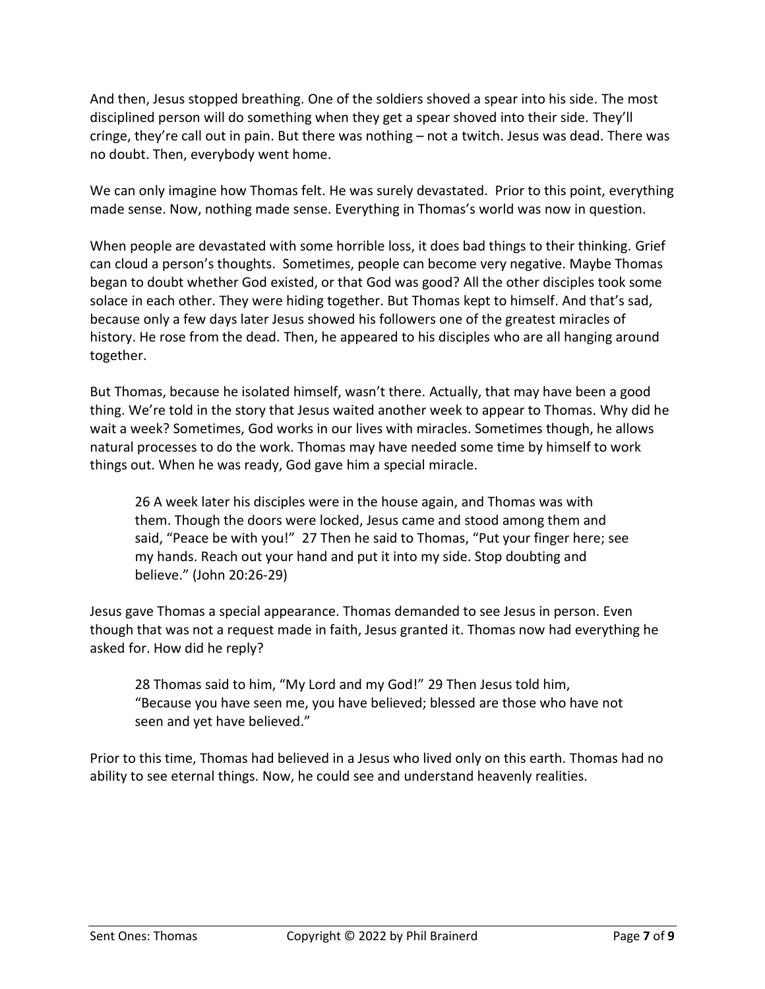And then, Jesus stopped breathing. One of the soldiers shoved a spear into his side. The most disciplined person will do something when they get a spear shoved into their side. They'll cringe, they're call out in pain. But there was nothing – not a twitch. Jesus was dead. There was no doubt. Then, everybody went home.

We can only imagine how Thomas felt. He was surely devastated. Prior to this point, everything made sense. Now, nothing made sense. Everything in Thomas's world was now in question.

When people are devastated with some horrible loss, it does bad things to their thinking. Grief can cloud a person's thoughts. Sometimes, people can become very negative. Maybe Thomas began to doubt whether God existed, or that God was good? All the other disciples took some solace in each other. They were hiding together. But Thomas kept to himself. And that's sad, because only a few days later Jesus showed his followers one of the greatest miracles of history. He rose from the dead. Then, he appeared to his disciples who are all hanging around together.

But Thomas, because he isolated himself, wasn't there. Actually, that may have been a good thing. We're told in the story that Jesus waited another week to appear to Thomas. Why did he wait a week? Sometimes, God works in our lives with miracles. Sometimes though, he allows natural processes to do the work. Thomas may have needed some time by himself to work things out. When he was ready, God gave him a special miracle.

26 A week later his disciples were in the house again, and Thomas was with them. Though the doors were locked, Jesus came and stood among them and said, "Peace be with you!" 27 Then he said to Thomas, "Put your finger here; see my hands. Reach out your hand and put it into my side. Stop doubting and believe." (John 20:26-29)

Jesus gave Thomas a special appearance. Thomas demanded to see Jesus in person. Even though that was not a request made in faith, Jesus granted it. Thomas now had everything he asked for. How did he reply?

28 Thomas said to him, "My Lord and my God!" 29 Then Jesus told him, "Because you have seen me, you have believed; blessed are those who have not seen and yet have believed."

Prior to this time, Thomas had believed in a Jesus who lived only on this earth. Thomas had no ability to see eternal things. Now, he could see and understand heavenly realities.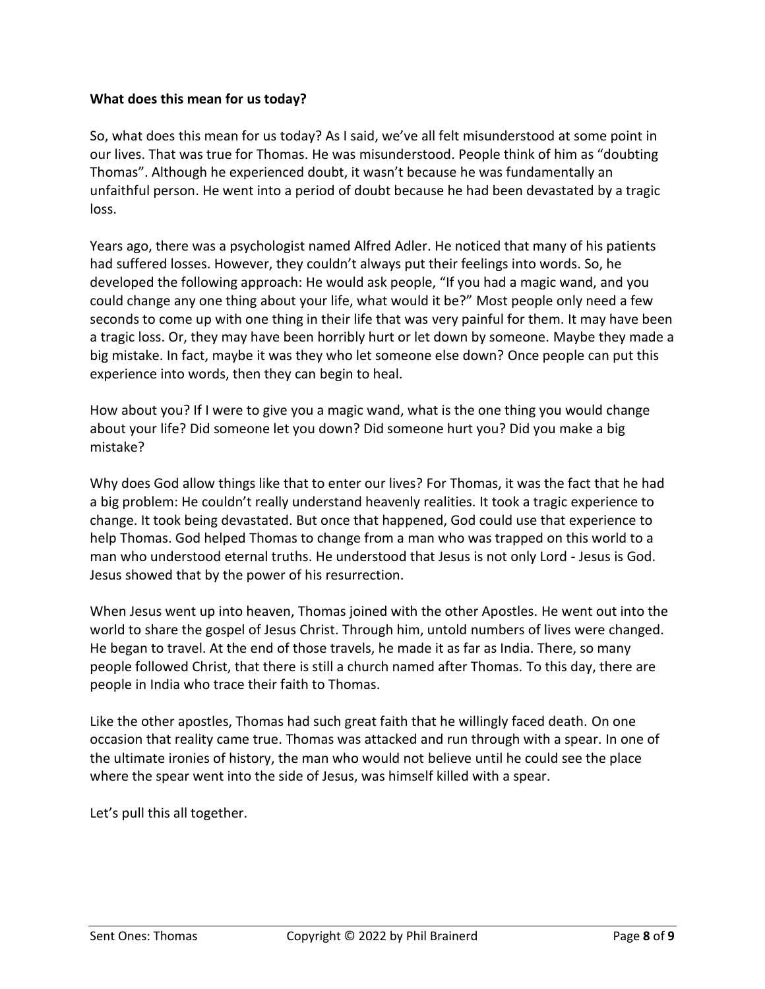#### **What does this mean for us today?**

So, what does this mean for us today? As I said, we've all felt misunderstood at some point in our lives. That was true for Thomas. He was misunderstood. People think of him as "doubting Thomas". Although he experienced doubt, it wasn't because he was fundamentally an unfaithful person. He went into a period of doubt because he had been devastated by a tragic loss.

Years ago, there was a psychologist named Alfred Adler. He noticed that many of his patients had suffered losses. However, they couldn't always put their feelings into words. So, he developed the following approach: He would ask people, "If you had a magic wand, and you could change any one thing about your life, what would it be?" Most people only need a few seconds to come up with one thing in their life that was very painful for them. It may have been a tragic loss. Or, they may have been horribly hurt or let down by someone. Maybe they made a big mistake. In fact, maybe it was they who let someone else down? Once people can put this experience into words, then they can begin to heal.

How about you? If I were to give you a magic wand, what is the one thing you would change about your life? Did someone let you down? Did someone hurt you? Did you make a big mistake?

Why does God allow things like that to enter our lives? For Thomas, it was the fact that he had a big problem: He couldn't really understand heavenly realities. It took a tragic experience to change. It took being devastated. But once that happened, God could use that experience to help Thomas. God helped Thomas to change from a man who was trapped on this world to a man who understood eternal truths. He understood that Jesus is not only Lord - Jesus is God. Jesus showed that by the power of his resurrection.

When Jesus went up into heaven, Thomas joined with the other Apostles. He went out into the world to share the gospel of Jesus Christ. Through him, untold numbers of lives were changed. He began to travel. At the end of those travels, he made it as far as India. There, so many people followed Christ, that there is still a church named after Thomas. To this day, there are people in India who trace their faith to Thomas.

Like the other apostles, Thomas had such great faith that he willingly faced death. On one occasion that reality came true. Thomas was attacked and run through with a spear. In one of the ultimate ironies of history, the man who would not believe until he could see the place where the spear went into the side of Jesus, was himself killed with a spear.

Let's pull this all together.